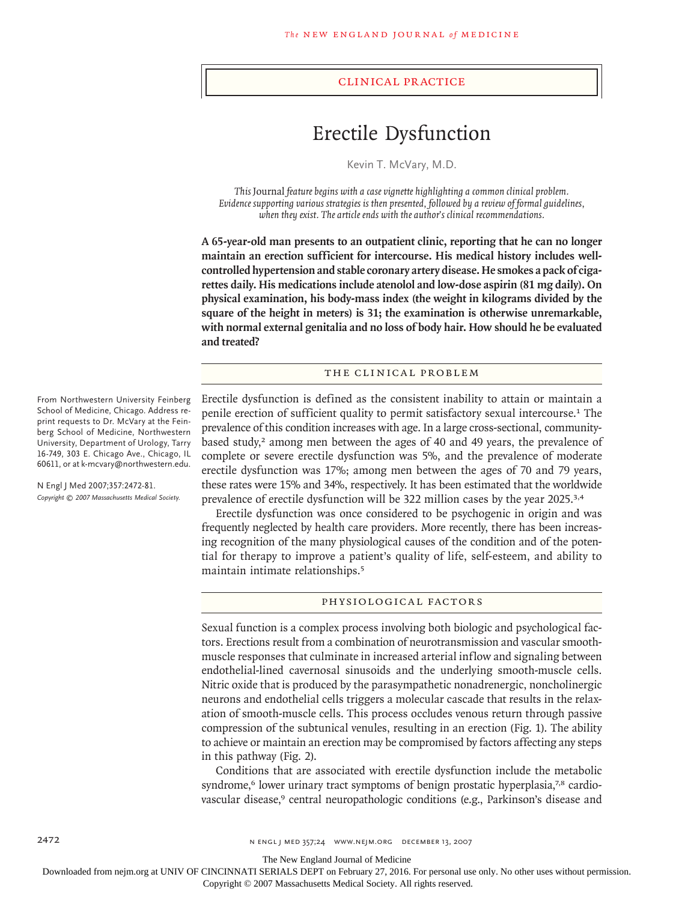## clinical practice

# Erectile Dysfunction

Kevin T. McVary, M.D.

*This* Journal *feature begins with a case vignette highlighting a common clinical problem. Evidence supporting various strategies is then presented, followed by a review of formal guidelines, when they exist. The article ends with the author's clinical recommendations.* 

**A 65-year-old man presents to an outpatient clinic, reporting that he can no longer maintain an erection sufficient for intercourse. His medical history includes wellcontrolled hypertension and stable coronary artery disease. He smokes a pack of cigarettes daily. His medications include atenolol and low-dose aspirin (81 mg daily). On physical examination, his body-mass index (the weight in kilograms divided by the square of the height in meters) is 31; the examination is otherwise unremarkable, with normal external genitalia and no loss of body hair. How should he be evaluated and treated?**

## THE CLINICAL PROBLEM

Erectile dysfunction is defined as the consistent inability to attain or maintain a penile erection of sufficient quality to permit satisfactory sexual intercourse.<sup>1</sup> The prevalence of this condition increases with age. In a large cross-sectional, communitybased study,<sup>2</sup> among men between the ages of 40 and 49 years, the prevalence of complete or severe erectile dysfunction was 5%, and the prevalence of moderate erectile dysfunction was 17%; among men between the ages of 70 and 79 years, these rates were 15% and 34%, respectively. It has been estimated that the worldwide prevalence of erectile dysfunction will be 322 million cases by the year 2025.<sup>3,4</sup>

Erectile dysfunction was once considered to be psychogenic in origin and was frequently neglected by health care providers. More recently, there has been increasing recognition of the many physiological causes of the condition and of the potential for therapy to improve a patient's quality of life, self-esteem, and ability to maintain intimate relationships.<sup>5</sup>

# PHYSIOLOGICAL FACTORS

Sexual function is a complex process involving both biologic and psychological factors. Erections result from a combination of neurotransmission and vascular smoothmuscle responses that culminate in increased arterial inflow and signaling between endothelial-lined cavernosal sinusoids and the underlying smooth-muscle cells. Nitric oxide that is produced by the parasympathetic nonadrenergic, noncholinergic neurons and endothelial cells triggers a molecular cascade that results in the relaxation of smooth-muscle cells. This process occludes venous return through passive compression of the subtunical venules, resulting in an erection (Fig. 1). The ability to achieve or maintain an erection may be compromised by factors affecting any steps in this pathway (Fig. 2).

Conditions that are associated with erectile dysfunction include the metabolic syndrome,<sup>6</sup> lower urinary tract symptoms of benign prostatic hyperplasia,<sup>7,8</sup> cardiovascular disease,<sup>9</sup> central neuropathologic conditions (e.g., Parkinson's disease and

From Northwestern University Feinberg School of Medicine, Chicago. Address reprint requests to Dr. McVary at the Feinberg School of Medicine, Northwestern University, Department of Urology, Tarry 16-749, 303 E. Chicago Ave., Chicago, IL 60611, or at k-mcvary@northwestern.edu.

N Engl J Med 2007;357:2472-81. *Copyright © 2007 Massachusetts Medical Society.*

2472 **n engl j med 357;24 www.nejm.org december 13, 2007** 

The New England Journal of Medicine

Downloaded from nejm.org at UNIV OF CINCINNATI SERIALS DEPT on February 27, 2016. For personal use only. No other uses without permission.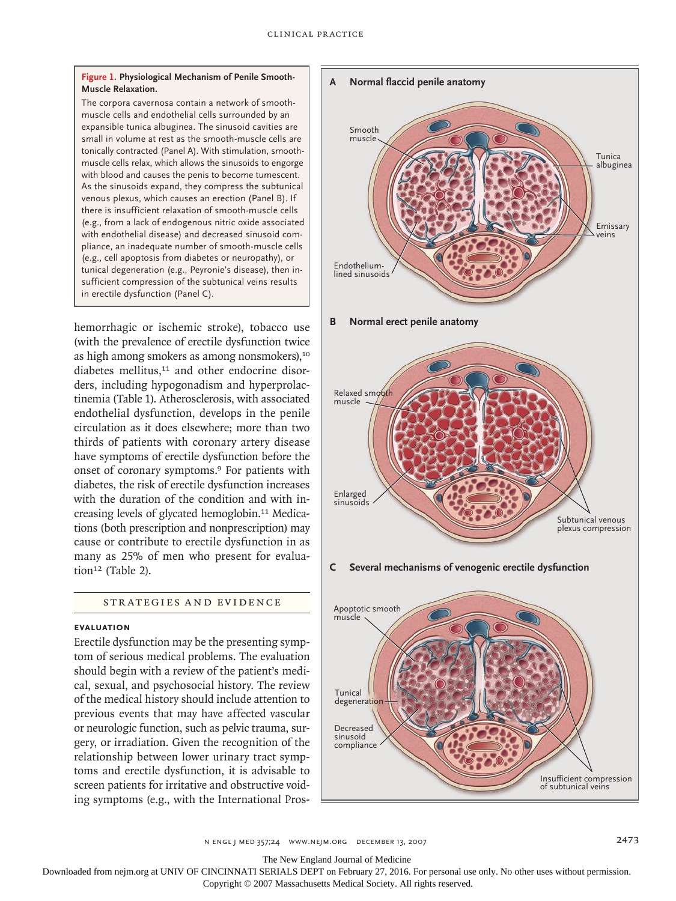## **Figure 1. Physiological Mechanism of Penile Smooth-Muscle Relaxation.**

The corpora cavernosa contain a network of smoothmuscle cells and endothelial cells surrounded by an expansible tunica albuginea. The sinusoid cavities are small in volume at rest as the smooth-muscle cells are tonically contracted (Panel A). With stimulation, smoothmuscle cells relax, which allows the sinusoids to engorge with blood and causes the penis to become tumescent. As the sinusoids expand, they compress the subtunical venous plexus, which causes an erection (Panel B). If there is insufficient relaxation of smooth-muscle cells (e.g., from a lack of endogenous nitric oxide associated with endothelial disease) and decreased sinusoid compliance, an inadequate number of smooth-muscle cells (e.g., cell apoptosis from diabetes or neuropathy), or tunical degeneration (e.g., Peyronie's disease), then insufficient compression of the subtunical veins results in erectile dysfunction (Panel C).

hemorrhagic or ischemic stroke), tobacco use (with the prevalence of erectile dysfunction twice as high among smokers as among nonsmokers),<sup>10</sup> diabetes mellitus,<sup>11</sup> and other endocrine disorders, including hypogonadism and hyperprolactinemia (Table 1). Atherosclerosis, with associated endothelial dysfunction, develops in the penile circulation as it does elsewhere; more than two thirds of patients with coronary artery disease have symptoms of erectile dysfunction before the onset of coronary symptoms.9 For patients with diabetes, the risk of erectile dysfunction increases with the duration of the condition and with increasing levels of glycated hemoglobin.11 Medications (both prescription and nonprescription) may cause or contribute to erectile dysfunction in as many as 25% of men who present for evaluation<sup>12</sup> (Table 2).

# STR ATEGIES AND EVIDENCE

#### **Evaluation**

Erectile dysfunction may be the presenting symptom of serious medical problems. The evaluation should begin with a review of the patient's medical, sexual, and psychosocial history. The review of the medical history should include attention to previous events that may have affected vascular or neurologic function, such as pelvic trauma, surgery, or irradiation. Given the recognition of the relationship between lower urinary tract symptoms and erectile dysfunction, it is advisable to screen patients for irritative and obstructive voiding symptoms (e.g., with the International Pros-



n engl j med 357;24 www.nejm.org december 13, 2007 2473

The New England Journal of Medicine

Downloaded from nejm.org at UNIV OF CINCINNATI SERIALS DEPT on February 27, 2016. For personal use only. No other uses without permission.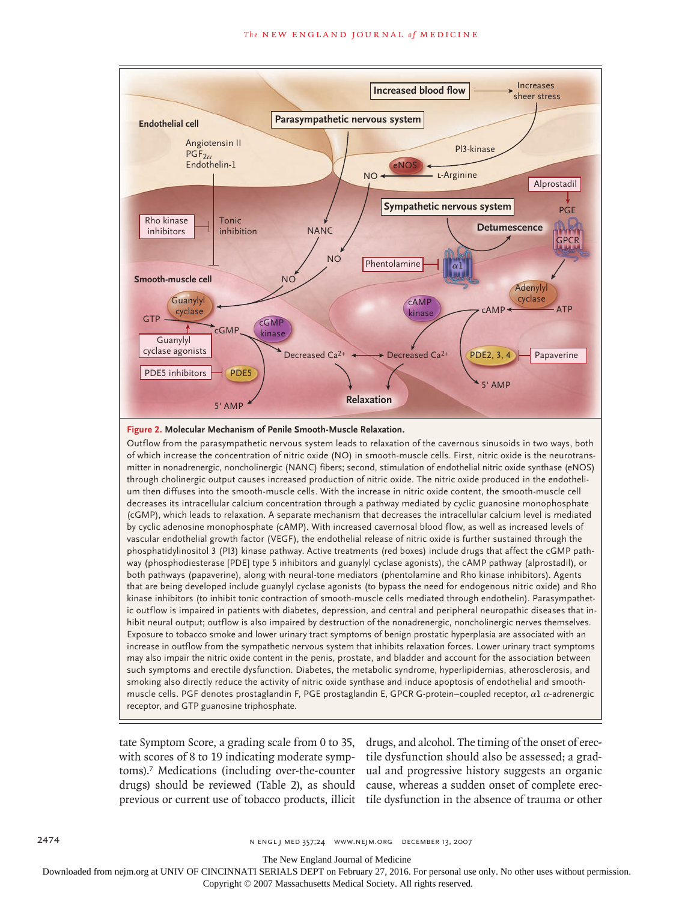

### **Figure 2. Molecular Mechanism of Penile Smooth-Muscle Relaxation.**

through cholinergic output causes increased production of nitric oxide. The nitric oxide produced in the endothelidecreases its intracellular calcium concentration through a pathway mediated by cyclic guanosine monophosphate of which increase the concentration of nitric oxide (NO) in smooth-muscle cells. First, nitric oxide is the neurotransby cyclic adenosine monophosphate (cAMP). With increased cavernosal blood flow, as well as increased levels of vascular endothelial growth factor (VEGF), the endothelial release of nitric oxide is further sustained through the mitter in nonadrenergic, noncholinergic (NANC) fibers; second, stimulation of endothelial nitric oxide synthase (eNOS) (cGMP), which leads to relaxation. A separate mechanism that decreases the intracellular calcium level is mediated phosphatidylinositol 3 (PI3) kinase pathway. Active treatments (red boxes) include drugs that affect the cGMP path-Outflow from the parasympathetic nervous system leads to relaxation of the cavernous sinusoids in two ways, both um then diffuses into the smooth-muscle cells. With the increase in nitric oxide content, the smooth-muscle cell way (phosphodiesterase [PDE] type 5 inhibitors and guanylyl cyclase agonists), the cAMP pathway (alprostadil), or both pathways (papaverine), along with neural-tone mediators (phentolamine and Rho kinase inhibitors). Agents that are being developed include guanylyl cyclase agonists (to bypass the need for endogenous nitric oxide) and Rho kinase inhibitors (to inhibit tonic contraction of smooth-muscle cells mediated through endothelin). Parasympathetic outflow is impaired in patients with diabetes, depression, and central and peripheral neuropathic diseases that inhibit neural output; outflow is also impaired by destruction of the nonadrenergic, noncholinergic nerves themselves. Exposure to tobacco smoke and lower urinary tract symptoms of benign prostatic hyperplasia are associated with an increase in outflow from the sympathetic nervous system that inhibits relaxation forces. Lower urinary tract symptoms may also impair the nitric oxide content in the penis, prostate, and bladder and account for the association between such symptoms and erectile dysfunction. Diabetes, the metabolic syndrome, hyperlipidemias, atherosclerosis, and smoking also directly reduce the activity of nitric oxide synthase and induce apoptosis of endothelial and smoothmuscle cells. PGF denotes prostaglandin F, PGE prostaglandin E, GPCR G-protein–coupled receptor, α1 α-adrenergic receptor, and GTP guanosine triphosphate.

tate Symptom Score, a grading scale from 0 to 35, drugs, and alcohol. The timing of the onset of erecwith scores of 8 to 19 indicating moderate symp-tile dysfunction should also be assessed; a gradtoms).7 Medications (including over-the-counter ual and progressive history suggests an organic drugs) should be reviewed (Table 2), as should

previous or current use of tobacco products, illicit tile dysfunction in the absence of trauma or other cause, whereas a sudden onset of complete erec-

The New England Journal of Medicine

Downloaded from nejm.org at UNIV OF CINCINNATI SERIALS DEPT on February 27, 2016. For personal use only. No other uses without permission.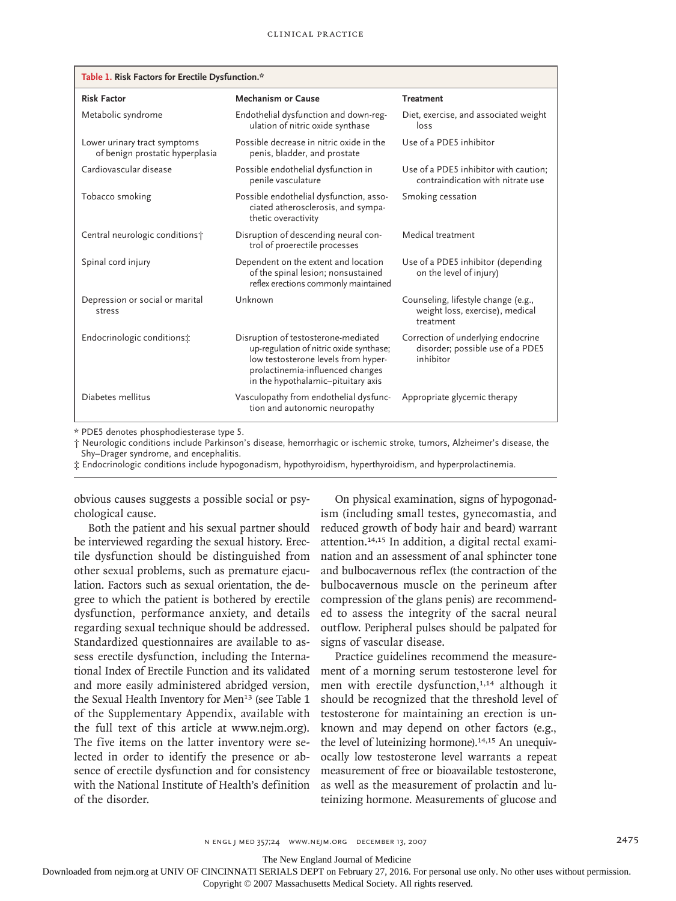| Table 1. Risk Factors for Erectile Dysfunction.*                |                                                                                                                                                                                                 |                                                                                     |  |
|-----------------------------------------------------------------|-------------------------------------------------------------------------------------------------------------------------------------------------------------------------------------------------|-------------------------------------------------------------------------------------|--|
| <b>Risk Factor</b>                                              | <b>Mechanism or Cause</b>                                                                                                                                                                       | <b>Treatment</b>                                                                    |  |
| Metabolic syndrome                                              | Endothelial dysfunction and down-reg-<br>ulation of nitric oxide synthase                                                                                                                       | Diet, exercise, and associated weight<br>loss                                       |  |
| Lower urinary tract symptoms<br>of benign prostatic hyperplasia | Possible decrease in nitric oxide in the<br>penis, bladder, and prostate                                                                                                                        | Use of a PDE5 inhibitor                                                             |  |
| Cardiovascular disease                                          | Possible endothelial dysfunction in<br>penile vasculature                                                                                                                                       | Use of a PDE5 inhibitor with caution;<br>contraindication with nitrate use          |  |
| Tobacco smoking                                                 | Possible endothelial dysfunction, asso-<br>ciated atherosclerosis, and sympa-<br>thetic overactivity                                                                                            | Smoking cessation                                                                   |  |
| Central neurologic conditions +                                 | Disruption of descending neural con-<br>trol of proerectile processes                                                                                                                           | Medical treatment                                                                   |  |
| Spinal cord injury                                              | Dependent on the extent and location<br>of the spinal lesion; nonsustained<br>reflex erections commonly maintained                                                                              | Use of a PDE5 inhibitor (depending<br>on the level of injury)                       |  |
| Depression or social or marital<br>stress                       | Unknown                                                                                                                                                                                         | Counseling, lifestyle change (e.g.,<br>weight loss, exercise), medical<br>treatment |  |
| Endocrinologic conditions:                                      | Disruption of testosterone-mediated<br>up-regulation of nitric oxide synthase;<br>low testosterone levels from hyper-<br>prolactinemia-influenced changes<br>in the hypothalamic-pituitary axis | Correction of underlying endocrine<br>disorder; possible use of a PDE5<br>inhibitor |  |
| Diabetes mellitus                                               | Vasculopathy from endothelial dysfunc-<br>tion and autonomic neuropathy                                                                                                                         | Appropriate glycemic therapy                                                        |  |

\* PDE5 denotes phosphodiesterase type 5.

† Neurologic conditions include Parkinson's disease, hemorrhagic or ischemic stroke, tumors, Alzheimer's disease, the

Shy–Drager syndrome, and encephalitis.

‡ Endocrinologic conditions include hypogonadism, hypothyroidism, hyperthyroidism, and hyperprolactinemia.

obvious causes suggests a possible social or psychological cause.

Both the patient and his sexual partner should be interviewed regarding the sexual history. Erectile dysfunction should be distinguished from other sexual problems, such as premature ejaculation. Factors such as sexual orientation, the degree to which the patient is bothered by erectile dysfunction, performance anxiety, and details regarding sexual technique should be addressed. Standardized questionnaires are available to assess erectile dysfunction, including the International Index of Erectile Function and its validated and more easily administered abridged version, the Sexual Health Inventory for Men<sup>13</sup> (see Table 1 of the Supplementary Appendix, available with the full text of this article at www.nejm.org). The five items on the latter inventory were selected in order to identify the presence or absence of erectile dysfunction and for consistency with the National Institute of Health's definition of the disorder.

On physical examination, signs of hypogonadism (including small testes, gynecomastia, and reduced growth of body hair and beard) warrant attention.14,15 In addition, a digital rectal examination and an assessment of anal sphincter tone and bulbocavernous reflex (the contraction of the bulbocavernous muscle on the perineum after compression of the glans penis) are recommended to assess the integrity of the sacral neural outflow. Peripheral pulses should be palpated for signs of vascular disease.

Practice guidelines recommend the measurement of a morning serum testosterone level for men with erectile dysfunction, $1,14$  although it should be recognized that the threshold level of testosterone for maintaining an erection is unknown and may depend on other factors (e.g., the level of luteinizing hormone).<sup>14,15</sup> An unequivocally low testosterone level warrants a repeat measurement of free or bioavailable testosterone, as well as the measurement of prolactin and luteinizing hormone. Measurements of glucose and

The New England Journal of Medicine

Downloaded from nejm.org at UNIV OF CINCINNATI SERIALS DEPT on February 27, 2016. For personal use only. No other uses without permission.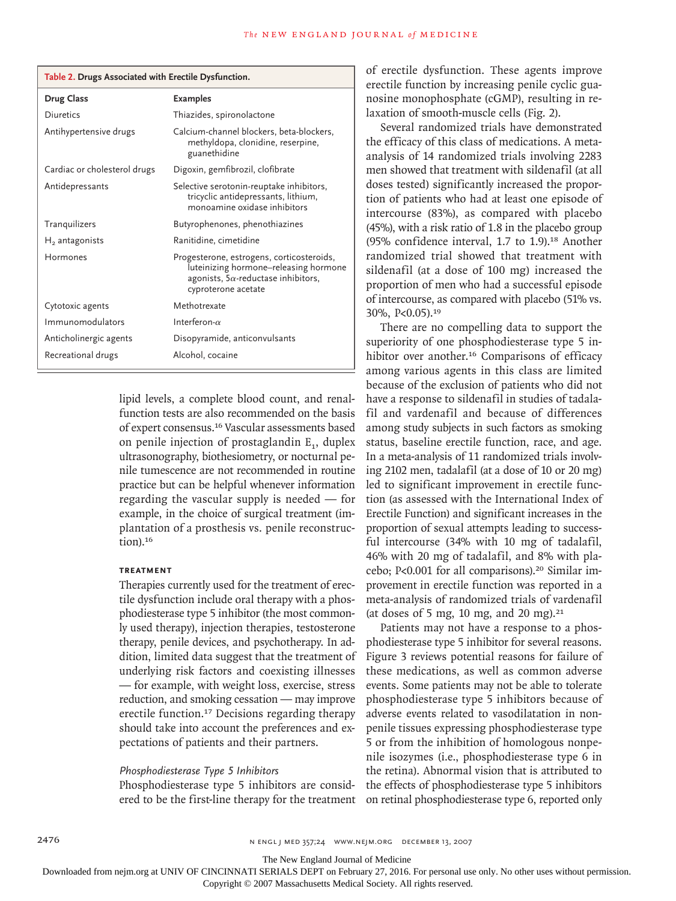| Table 2. Drugs Associated with Erectile Dysfunction. |                                                                                                                                                         |  |  |
|------------------------------------------------------|---------------------------------------------------------------------------------------------------------------------------------------------------------|--|--|
| <b>Drug Class</b>                                    | <b>Examples</b>                                                                                                                                         |  |  |
| Diuretics                                            | Thiazides, spironolactone                                                                                                                               |  |  |
| Antihypertensive drugs                               | Calcium-channel blockers, beta-blockers,<br>methyldopa, clonidine, reserpine,<br>guanethidine                                                           |  |  |
| Cardiac or cholesterol drugs                         | Digoxin, gemfibrozil, clofibrate                                                                                                                        |  |  |
| Antidepressants                                      | Selective serotonin-reuptake inhibitors,<br>tricyclic antidepressants, lithium,<br>monoamine oxidase inhibitors                                         |  |  |
| Tranquilizers                                        | Butyrophenones, phenothiazines                                                                                                                          |  |  |
| $H2$ antagonists                                     | Ranitidine, cimetidine                                                                                                                                  |  |  |
| Hormones                                             | Progesterone, estrogens, corticosteroids,<br>luteinizing hormone-releasing hormone<br>agonists, $5\alpha$ -reductase inhibitors,<br>cyproterone acetate |  |  |
| Cytotoxic agents                                     | Methotrexate                                                                                                                                            |  |  |
| Immunomodulators                                     | Interferon- $\alpha$                                                                                                                                    |  |  |
| Anticholinergic agents                               | Disopyramide, anticonvulsants                                                                                                                           |  |  |
| Recreational drugs                                   | Alcohol, cocaine                                                                                                                                        |  |  |

lipid levels, a complete blood count, and renalfunction tests are also recommended on the basis of expert consensus.16 Vascular assessments based on penile injection of prostaglandin  $E_1$ , duplex ultrasonography, biothesiometry, or nocturnal penile tumescence are not recommended in routine practice but can be helpful whenever information regarding the vascular supply is needed — for example, in the choice of surgical treatment (implantation of a prosthesis vs. penile reconstruction).<sup>16</sup>

## **Treatment**

Therapies currently used for the treatment of erectile dysfunction include oral therapy with a phosphodiesterase type 5 inhibitor (the most commonly used therapy), injection therapies, testosterone therapy, penile devices, and psychotherapy. In addition, limited data suggest that the treatment of underlying risk factors and coexisting illnesses — for example, with weight loss, exercise, stress reduction, and smoking cessation — may improve erectile function.<sup>17</sup> Decisions regarding therapy should take into account the preferences and expectations of patients and their partners.

# *Phosphodiesterase Type 5 Inhibitors*

Phosphodiesterase type 5 inhibitors are considered to be the first-line therapy for the treatment of erectile dysfunction. These agents improve erectile function by increasing penile cyclic guanosine monophosphate (cGMP), resulting in relaxation of smooth-muscle cells (Fig. 2).

Several randomized trials have demonstrated the efficacy of this class of medications. A metaanalysis of 14 randomized trials involving 2283 men showed that treatment with sildenafil (at all doses tested) significantly increased the proportion of patients who had at least one episode of intercourse (83%), as compared with placebo (45%), with a risk ratio of 1.8 in the placebo group (95% confidence interval, 1.7 to 1.9).<sup>18</sup> Another randomized trial showed that treatment with sildenafil (at a dose of 100 mg) increased the proportion of men who had a successful episode of intercourse, as compared with placebo (51% vs. 30%, P<0.05).<sup>19</sup>

There are no compelling data to support the superiority of one phosphodiesterase type 5 inhibitor over another.<sup>16</sup> Comparisons of efficacy among various agents in this class are limited because of the exclusion of patients who did not have a response to sildenafil in studies of tadalafil and vardenafil and because of differences among study subjects in such factors as smoking status, baseline erectile function, race, and age. In a meta-analysis of 11 randomized trials involving 2102 men, tadalafil (at a dose of 10 or 20 mg) led to significant improvement in erectile function (as assessed with the International Index of Erectile Function) and significant increases in the proportion of sexual attempts leading to successful intercourse (34% with 10 mg of tadalafil, 46% with 20 mg of tadalafil, and 8% with placebo; P<0.001 for all comparisons).20 Similar improvement in erectile function was reported in a meta-analysis of randomized trials of vardenafil (at doses of 5 mg, 10 mg, and 20 mg). $21$ 

Patients may not have a response to a phosphodiesterase type 5 inhibitor for several reasons. Figure 3 reviews potential reasons for failure of these medications, as well as common adverse events. Some patients may not be able to tolerate phosphodiesterase type 5 inhibitors because of adverse events related to vasodilatation in nonpenile tissues expressing phosphodiesterase type 5 or from the inhibition of homologous nonpenile isozymes (i.e., phosphodiesterase type 6 in the retina). Abnormal vision that is attributed to the effects of phosphodiesterase type 5 inhibitors on retinal phosphodiesterase type 6, reported only

The New England Journal of Medicine

Downloaded from nejm.org at UNIV OF CINCINNATI SERIALS DEPT on February 27, 2016. For personal use only. No other uses without permission.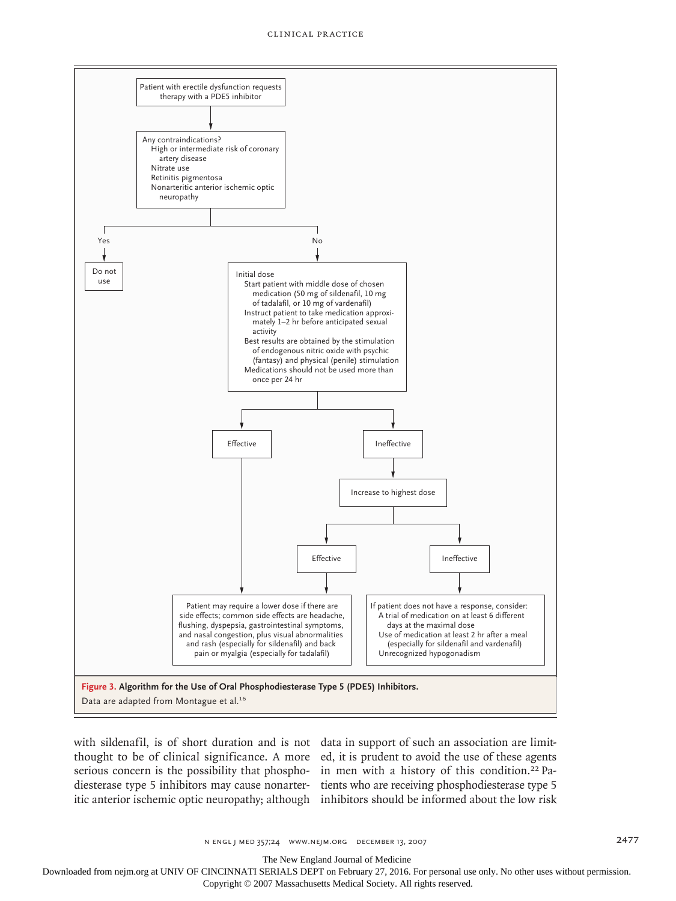#### clinical pr actice



with sildenafil, is of short duration and is not data in support of such an association are limitthought to be of clinical significance. A more ed, it is prudent to avoid the use of these agents serious concern is the possibility that phospho- in men with a history of this condition.<sup>22</sup> Padiesterase type 5 inhibitors may cause nonarter-<br>
tients who are receiving phosphodiesterase type 5 itic anterior ischemic optic neuropathy; although inhibitors should be informed about the low risk

n engl j med 357;24 www.nejm.org december 13, 2007 2477

The New England Journal of Medicine

Downloaded from nejm.org at UNIV OF CINCINNATI SERIALS DEPT on February 27, 2016. For personal use only. No other uses without permission.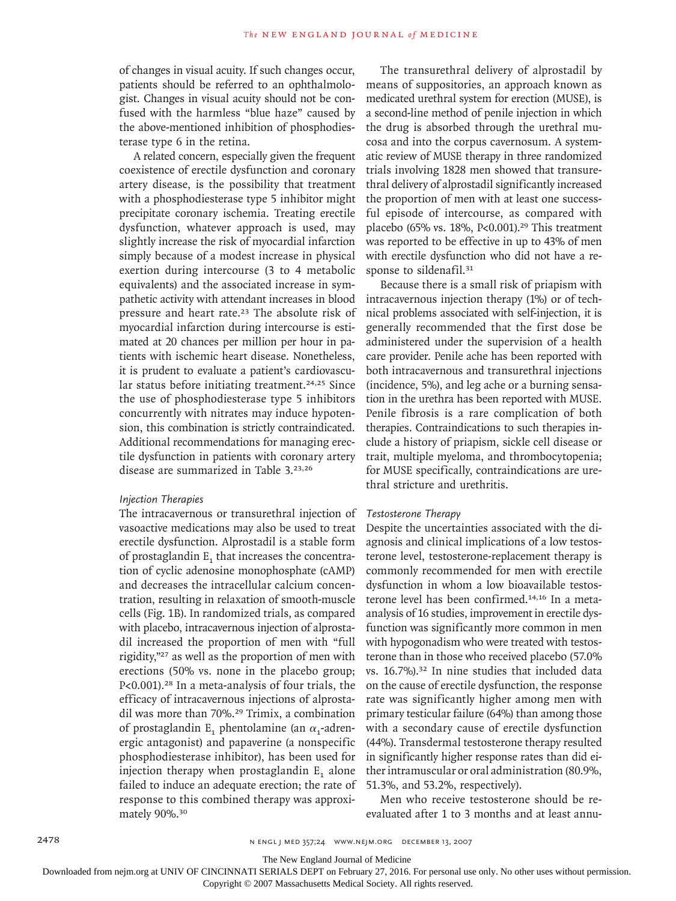of changes in visual acuity. If such changes occur, patients should be referred to an ophthalmologist. Changes in visual acuity should not be confused with the harmless "blue haze" caused by the above-mentioned inhibition of phosphodiesterase type 6 in the retina.

A related concern, especially given the frequent coexistence of erectile dysfunction and coronary artery disease, is the possibility that treatment with a phosphodiesterase type 5 inhibitor might precipitate coronary ischemia. Treating erectile dysfunction, whatever approach is used, may slightly increase the risk of myocardial infarction simply because of a modest increase in physical exertion during intercourse (3 to 4 metabolic equivalents) and the associated increase in sympathetic activity with attendant increases in blood pressure and heart rate.<sup>23</sup> The absolute risk of myocardial infarction during intercourse is estimated at 20 chances per million per hour in patients with ischemic heart disease. Nonetheless, it is prudent to evaluate a patient's cardiovascular status before initiating treatment.<sup>24,25</sup> Since the use of phosphodiesterase type 5 inhibitors concurrently with nitrates may induce hypotension, this combination is strictly contraindicated. Additional recommendations for managing erectile dysfunction in patients with coronary artery disease are summarized in Table 3.23,26

## *Injection Therapies*

The intracavernous or transurethral injection of vasoactive medications may also be used to treat erectile dysfunction. Alprostadil is a stable form of prostaglandin  $E_1$  that increases the concentration of cyclic adenosine monophosphate (cAMP) and decreases the intracellular calcium concentration, resulting in relaxation of smooth-muscle cells (Fig. 1B). In randomized trials, as compared with placebo, intracavernous injection of alprostadil increased the proportion of men with "full rigidity,"27 as well as the proportion of men with erections (50% vs. none in the placebo group; P<0.001).<sup>28</sup> In a meta-analysis of four trials, the efficacy of intracavernous injections of alprostadil was more than 70%.29 Trimix, a combination of prostaglandin E<sub>1</sub> phentolamine (an  $\alpha_1$ -adrenergic antagonist) and papaverine (a nonspecific phosphodiesterase inhibitor), has been used for injection therapy when prostaglandin  $E_1$  alone failed to induce an adequate erection; the rate of response to this combined therapy was approximately 90%.<sup>30</sup>

The transurethral delivery of alprostadil by means of suppositories, an approach known as medicated urethral system for erection (MUSE), is a second-line method of penile injection in which the drug is absorbed through the urethral mucosa and into the corpus cavernosum. A systematic review of MUSE therapy in three randomized trials involving 1828 men showed that transurethral delivery of alprostadil significantly increased the proportion of men with at least one successful episode of intercourse, as compared with placebo (65% vs. 18%, P<0.001).<sup>29</sup> This treatment was reported to be effective in up to 43% of men with erectile dysfunction who did not have a response to sildenafil.<sup>31</sup>

Because there is a small risk of priapism with intracavernous injection therapy (1%) or of technical problems associated with self-injection, it is generally recommended that the first dose be administered under the supervision of a health care provider. Penile ache has been reported with both intracavernous and transurethral injections (incidence, 5%), and leg ache or a burning sensation in the urethra has been reported with MUSE. Penile fibrosis is a rare complication of both therapies. Contraindications to such therapies include a history of priapism, sickle cell disease or trait, multiple myeloma, and thrombocytopenia; for MUSE specifically, contraindications are urethral stricture and urethritis.

# *Testosterone Therapy*

Despite the uncertainties associated with the diagnosis and clinical implications of a low testosterone level, testosterone-replacement therapy is commonly recommended for men with erectile dysfunction in whom a low bioavailable testosterone level has been confirmed.14,16 In a metaanalysis of 16 studies, improvement in erectile dysfunction was significantly more common in men with hypogonadism who were treated with testosterone than in those who received placebo (57.0% vs. 16.7%).32 In nine studies that included data on the cause of erectile dysfunction, the response rate was significantly higher among men with primary testicular failure (64%) than among those with a secondary cause of erectile dysfunction (44%). Transdermal testosterone therapy resulted in significantly higher response rates than did either intramuscular or oral administration (80.9%, 51.3%, and 53.2%, respectively).

Men who receive testosterone should be reevaluated after 1 to 3 months and at least annu-

The New England Journal of Medicine

Downloaded from nejm.org at UNIV OF CINCINNATI SERIALS DEPT on February 27, 2016. For personal use only. No other uses without permission.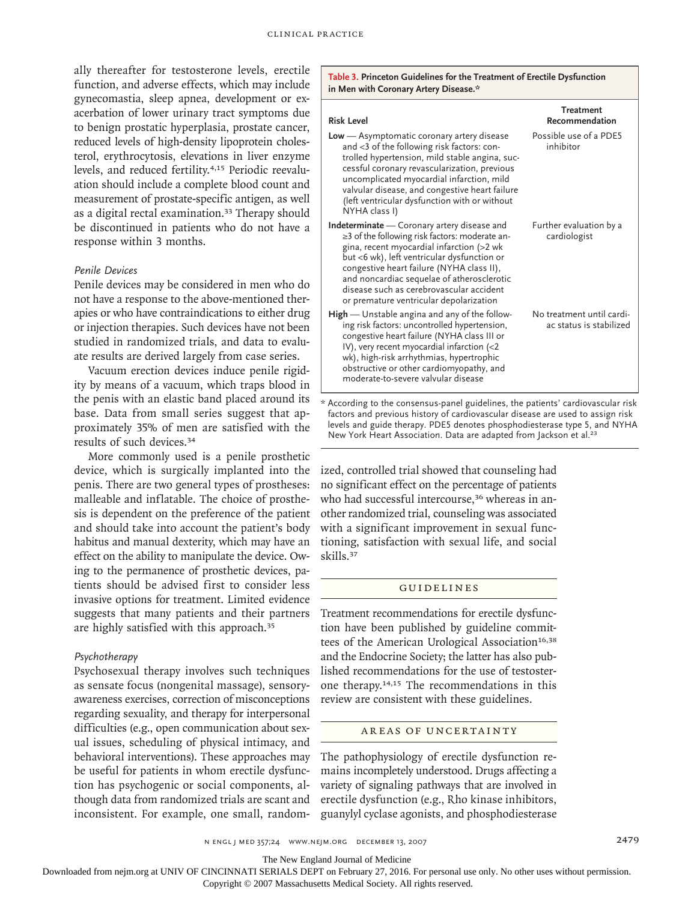ally thereafter for testosterone levels, erectile function, and adverse effects, which may include gynecomastia, sleep apnea, development or exacerbation of lower urinary tract symptoms due to benign prostatic hyperplasia, prostate cancer, reduced levels of high-density lipoprotein cholesterol, erythrocytosis, elevations in liver enzyme levels, and reduced fertility.4,15 Periodic reevaluation should include a complete blood count and measurement of prostate-specific antigen, as well as a digital rectal examination.33 Therapy should be discontinued in patients who do not have a response within 3 months.

# *Penile Devices*

Penile devices may be considered in men who do not have a response to the above-mentioned therapies or who have contraindications to either drug or injection therapies. Such devices have not been studied in randomized trials, and data to evaluate results are derived largely from case series.

Vacuum erection devices induce penile rigidity by means of a vacuum, which traps blood in the penis with an elastic band placed around its base. Data from small series suggest that approximately 35% of men are satisfied with the results of such devices.<sup>34</sup>

More commonly used is a penile prosthetic device, which is surgically implanted into the penis. There are two general types of prostheses: malleable and inflatable. The choice of prosthesis is dependent on the preference of the patient and should take into account the patient's body habitus and manual dexterity, which may have an effect on the ability to manipulate the device. Owing to the permanence of prosthetic devices, patients should be advised first to consider less invasive options for treatment. Limited evidence suggests that many patients and their partners are highly satisfied with this approach.<sup>35</sup>

# *Psychotherapy*

Psychosexual therapy involves such techniques as sensate focus (nongenital massage), sensoryawareness exercises, correction of misconceptions regarding sexuality, and therapy for interpersonal difficulties (e.g., open communication about sexual issues, scheduling of physical intimacy, and behavioral interventions). These approaches may be useful for patients in whom erectile dysfunction has psychogenic or social components, although data from randomized trials are scant and inconsistent. For example, one small, random-

**Table 3. Princeton Guidelines for the Treatment of Erectile Dysfunction in Men with Coronary Artery Disease.\***

| <b>Risk Level</b>                                                                                                                                                                                                                                                                                                                                                                        | <b>Treatment</b><br>Recommendation                   |
|------------------------------------------------------------------------------------------------------------------------------------------------------------------------------------------------------------------------------------------------------------------------------------------------------------------------------------------------------------------------------------------|------------------------------------------------------|
| Low — Asymptomatic coronary artery disease<br>and <3 of the following risk factors: con-<br>trolled hypertension, mild stable angina, suc-<br>cessful coronary revascularization, previous<br>uncomplicated myocardial infarction, mild<br>valvular disease, and congestive heart failure<br>(left ventricular dysfunction with or without<br>NYHA class I)                              | Possible use of a PDE5<br>inhibitor                  |
| <b>Indeterminate</b> — Coronary artery disease and<br>$\geq$ 3 of the following risk factors: moderate an-<br>gina, recent myocardial infarction (>2 wk<br>but <6 wk), left ventricular dysfunction or<br>congestive heart failure (NYHA class II),<br>and noncardiac sequelae of atherosclerotic<br>disease such as cerebrovascular accident<br>or premature ventricular depolarization | Further evaluation by a<br>cardiologist              |
| High — Unstable angina and any of the follow-<br>ing risk factors: uncontrolled hypertension,<br>congestive heart failure (NYHA class III or<br>IV), very recent myocardial infarction (<2<br>wk), high-risk arrhythmias, hypertrophic<br>obstructive or other cardiomyopathy, and<br>moderate-to-severe valvular disease                                                                | No treatment until cardi-<br>ac status is stabilized |

\* According to the consensus-panel guidelines, the patients' cardiovascular risk factors and previous history of cardiovascular disease are used to assign risk levels and guide therapy. PDE5 denotes phosphodiesterase type 5, and NYHA New York Heart Association. Data are adapted from Jackson et al.<sup>23</sup>

ized, controlled trial showed that counseling had no significant effect on the percentage of patients who had successful intercourse,<sup>36</sup> whereas in another randomized trial, counseling was associated with a significant improvement in sexual functioning, satisfaction with sexual life, and social skills.<sup>37</sup>

## **GUIDELINES**

Treatment recommendations for erectile dysfunction have been published by guideline committees of the American Urological Association<sup>16,38</sup> and the Endocrine Society; the latter has also published recommendations for the use of testosterone therapy.14,15 The recommendations in this review are consistent with these guidelines.

# AREAS OF UNCERTAINTY

The pathophysiology of erectile dysfunction remains incompletely understood. Drugs affecting a variety of signaling pathways that are involved in erectile dysfunction (e.g., Rho kinase inhibitors, guanylyl cyclase agonists, and phosphodiesterase

The New England Journal of Medicine

Downloaded from nejm.org at UNIV OF CINCINNATI SERIALS DEPT on February 27, 2016. For personal use only. No other uses without permission.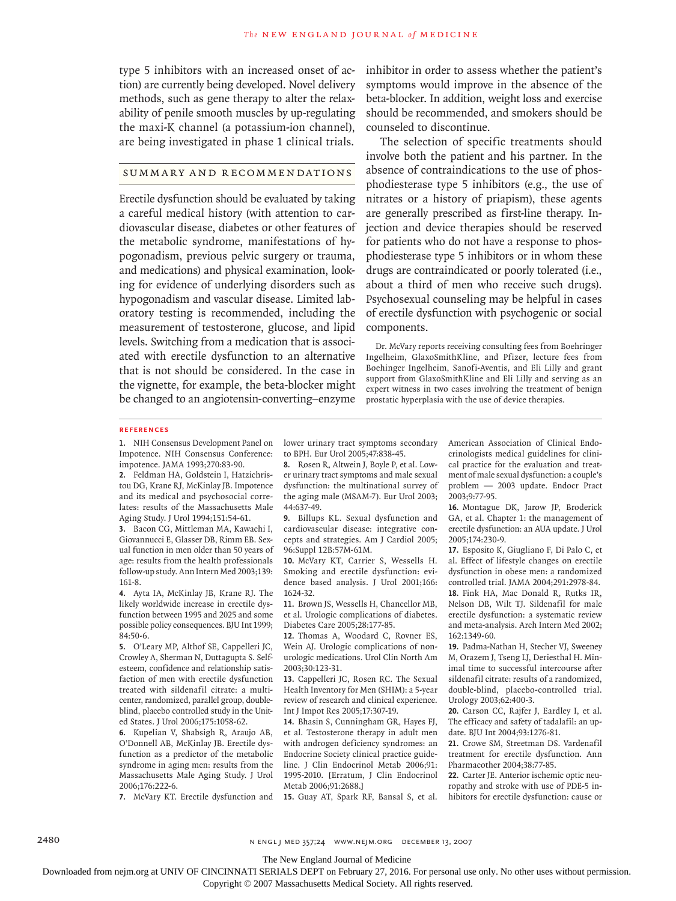type 5 inhibitors with an increased onset of action) are currently being developed. Novel delivery methods, such as gene therapy to alter the relaxability of penile smooth muscles by up-regulating the maxi-K channel (a potassium-ion channel), are being investigated in phase 1 clinical trials.

# SUMMARY AND RECOMMENDATIONS

Erectile dysfunction should be evaluated by taking a careful medical history (with attention to cardiovascular disease, diabetes or other features of the metabolic syndrome, manifestations of hypogonadism, previous pelvic surgery or trauma, and medications) and physical examination, looking for evidence of underlying disorders such as hypogonadism and vascular disease. Limited laboratory testing is recommended, including the measurement of testosterone, glucose, and lipid levels. Switching from a medication that is associated with erectile dysfunction to an alternative that is not should be considered. In the case in the vignette, for example, the beta-blocker might be changed to an angiotensin-converting–enzyme

inhibitor in order to assess whether the patient's symptoms would improve in the absence of the beta-blocker. In addition, weight loss and exercise should be recommended, and smokers should be counseled to discontinue.

The selection of specific treatments should involve both the patient and his partner. In the absence of contraindications to the use of phosphodiesterase type 5 inhibitors (e.g., the use of nitrates or a history of priapism), these agents are generally prescribed as first-line therapy. Injection and device therapies should be reserved for patients who do not have a response to phosphodiesterase type 5 inhibitors or in whom these drugs are contraindicated or poorly tolerated (i.e., about a third of men who receive such drugs). Psychosexual counseling may be helpful in cases of erectile dysfunction with psychogenic or social components.

Dr. McVary reports receiving consulting fees from Boehringer Ingelheim, GlaxoSmithKline, and Pfizer, lecture fees from Boehinger Ingelheim, Sanofi-Aventis, and Eli Lilly and grant support from GlaxoSmithKline and Eli Lilly and serving as an expert witness in two cases involving the treatment of benign prostatic hyperplasia with the use of device therapies.

#### **References**

NIH Consensus Development Panel on **1.** Impotence. NIH Consensus Conference: impotence. JAMA 1993;270:83-90.

Feldman HA, Goldstein I, Hatzichris-**2.** tou DG, Krane RJ, McKinlay JB. Impotence and its medical and psychosocial correlates: results of the Massachusetts Male Aging Study. J Urol 1994;151:54-61.

Bacon CG, Mittleman MA, Kawachi I, **3.** Giovannucci E, Glasser DB, Rimm EB. Sexual function in men older than 50 years of age: results from the health professionals follow-up study. Ann Intern Med 2003;139: 161-8.

4. Ayta IA, McKinlay JB, Krane RJ. The likely worldwide increase in erectile dysfunction between 1995 and 2025 and some possible policy consequences. BJU Int 1999; 84:50-6.

O'Leary MP, Althof SE, Cappelleri JC, **5.** Crowley A, Sherman N, Duttagupta S. Selfesteem, confidence and relationship satisfaction of men with erectile dysfunction treated with sildenafil citrate: a multicenter, randomized, parallel group, doubleblind, placebo controlled study in the United States. J Urol 2006;175:1058-62.

6. Kupelian V, Shabsigh R, Araujo AB, O'Donnell AB, McKinlay JB. Erectile dysfunction as a predictor of the metabolic syndrome in aging men: results from the Massachusetts Male Aging Study. J Urol 2006;176:222-6.

McVary KT. Erectile dysfunction and **7.**

lower urinary tract symptoms secondary to BPH. Eur Urol 2005;47:838-45.

Rosen R, Altwein J, Boyle P, et al. Low-**8.** er urinary tract symptoms and male sexual dysfunction: the multinational survey of the aging male (MSAM-7). Eur Urol 2003; 44:637-49.

Billups KL. Sexual dysfunction and **9.** cardiovascular disease: integrative concepts and strategies. Am J Cardiol 2005; 96:Suppl 12B:57M-61M.

10. McVary KT, Carrier S, Wessells H. Smoking and erectile dysfunction: evidence based analysis. J Urol 2001;166: 1624-32.

11. Brown JS, Wessells H, Chancellor MB, et al. Urologic complications of diabetes. Diabetes Care 2005;28:177-85.

12. Thomas A, Woodard C, Rovner ES, Wein AJ. Urologic complications of nonurologic medications. Urol Clin North Am 2003;30:123-31.

13. Cappelleri JC, Rosen RC. The Sexual Health Inventory for Men (SHIM): a 5-year review of research and clinical experience. Int J Impot Res 2005;17:307-19.

14. Bhasin S, Cunningham GR, Hayes FJ, et al. Testosterone therapy in adult men with androgen deficiency syndromes: an Endocrine Society clinical practice guideline. J Clin Endocrinol Metab 2006;91: 1995-2010. [Erratum, J Clin Endocrinol Metab 2006;91:2688.]

15. Guay AT, Spark RF, Bansal S, et al.

American Association of Clinical Endocrinologists medical guidelines for clinical practice for the evaluation and treatment of male sexual dysfunction: a couple's problem — 2003 update. Endocr Pract 2003;9:77-95.

16. Montague DK, Jarow JP, Broderick GA, et al. Chapter 1: the management of erectile dysfunction: an AUA update. J Urol 2005;174:230-9.

Esposito K, Giugliano F, Di Palo C, et **17.** al. Effect of lifestyle changes on erectile dysfunction in obese men: a randomized controlled trial. JAMA 2004;291:2978-84. 18. Fink HA, Mac Donald R, Rutks IR, Nelson DB, Wilt TJ. Sildenafil for male erectile dysfunction: a systematic review and meta-analysis. Arch Intern Med 2002; 162:1349-60.

19. Padma-Nathan H, Stecher VJ, Sweeney M, Orazem J, Tseng LJ, Deriesthal H. Minimal time to successful intercourse after sildenafil citrate: results of a randomized, double-blind, placebo-controlled trial. Urology 2003;62:400-3.

20. Carson CC, Rajfer J, Eardley I, et al. The efficacy and safety of tadalafil: an update. BJU Int 2004;93:1276-81.

21. Crowe SM, Streetman DS. Vardenafil treatment for erectile dysfunction. Ann Pharmacother 2004;38:77-85.

22. Carter JE. Anterior ischemic optic neuropathy and stroke with use of PDE-5 inhibitors for erectile dysfunction: cause or

2480 **n ENGL j MED 357;24 WWW.NEIM.ORG DECEMBER 13, 2007** 

The New England Journal of Medicine

Downloaded from nejm.org at UNIV OF CINCINNATI SERIALS DEPT on February 27, 2016. For personal use only. No other uses without permission.